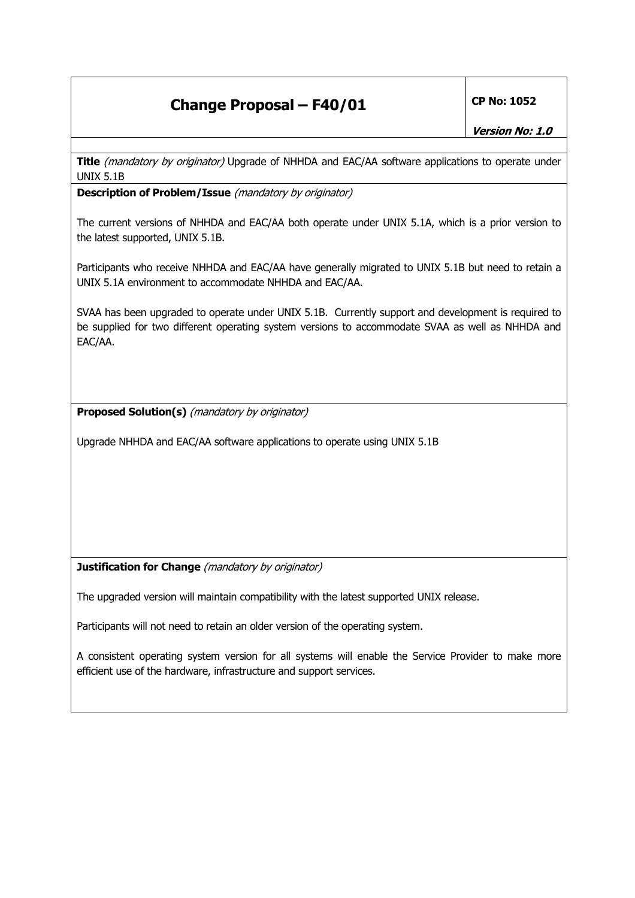## **Change Proposal – F40/01 CP No: 1052**

**Title** (mandatory by originator) Upgrade of NHHDA and EAC/AA software applications to operate under UNIX 5.1B

**Description of Problem/Issue** (mandatory by originator)

The current versions of NHHDA and EAC/AA both operate under UNIX 5.1A, which is a prior version to the latest supported, UNIX 5.1B.

Participants who receive NHHDA and EAC/AA have generally migrated to UNIX 5.1B but need to retain a UNIX 5.1A environment to accommodate NHHDA and EAC/AA.

SVAA has been upgraded to operate under UNIX 5.1B. Currently support and development is required to be supplied for two different operating system versions to accommodate SVAA as well as NHHDA and EAC/AA.

**Proposed Solution(s)** (mandatory by originator)

Upgrade NHHDA and EAC/AA software applications to operate using UNIX 5.1B

**Justification for Change** (*mandatory by originator*)

The upgraded version will maintain compatibility with the latest supported UNIX release.

Participants will not need to retain an older version of the operating system.

A consistent operating system version for all systems will enable the Service Provider to make more efficient use of the hardware, infrastructure and support services.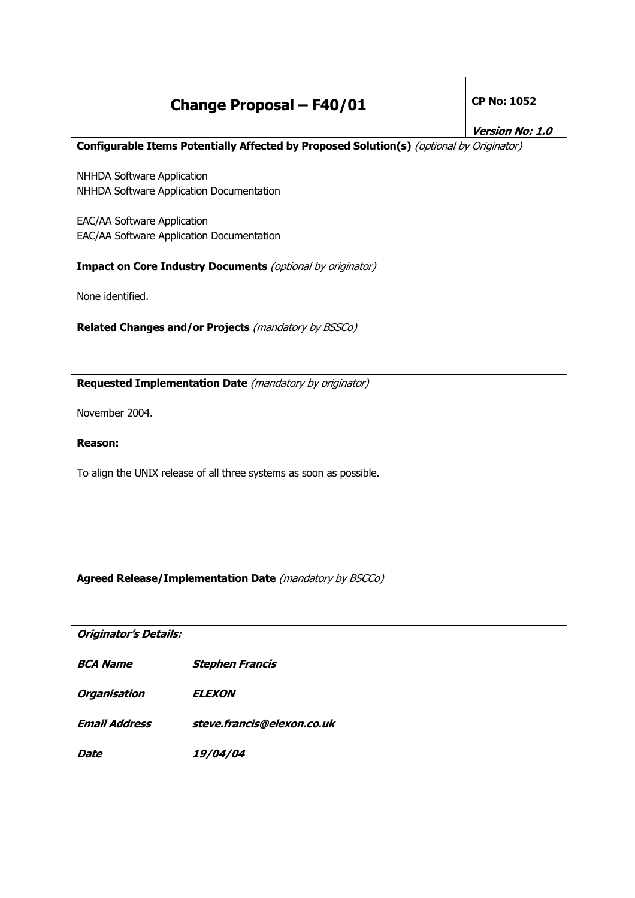## **Change Proposal – F40/01 CP No: 1052**

#### **Version No: 1.0**

#### **Configurable Items Potentially Affected by Proposed Solution(s)** (optional by Originator)

NHHDA Software Application NHHDA Software Application Documentation

EAC/AA Software Application EAC/AA Software Application Documentation

### **Impact on Core Industry Documents** (optional by originator)

None identified.

**Related Changes and/or Projects** (mandatory by BSSCo)

**Requested Implementation Date** (mandatory by originator)

November 2004.

**Reason:** 

To align the UNIX release of all three systems as soon as possible.

**Agreed Release/Implementation Date** (mandatory by BSCCo)

**Originator's Details:** 

**BCA Name Stephen Francis** 

**Organisation ELEXON** 

**Email Address steve.francis@elexon.co.uk** 

**Date 19/04/04**